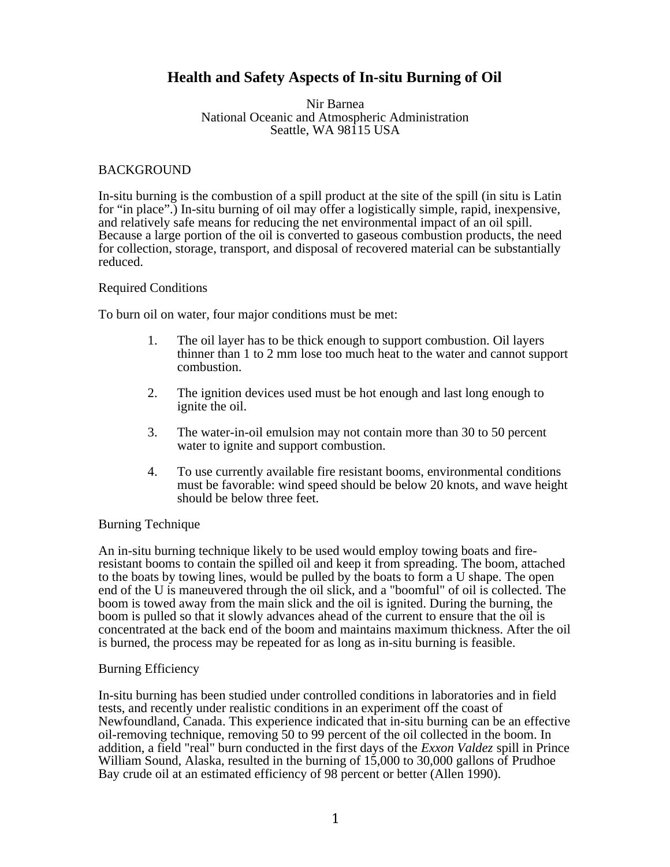# **Health and Safety Aspects of In-situ Burning of Oil**

#### Nir Barnea National Oceanic and Atmospheric Administration Seattle, WA 98115 USA

## BACKGROUND

In-situ burning is the combustion of a spill product at the site of the spill (in situ is Latin for "in place".) In-situ burning of oil may offer a logistically simple, rapid, inexpensive, and relatively safe means for reducing the net environmental impact of an oil spill. Because a large portion of the oil is converted to gaseous combustion products, the need for collection, storage, transport, and disposal of recovered material can be substantially reduced.

#### Required Conditions

To burn oil on water, four major conditions must be met:

- 1. The oil layer has to be thick enough to support combustion. Oil layers thinner than 1 to 2 mm lose too much heat to the water and cannot support combustion.
- 2. The ignition devices used must be hot enough and last long enough to ignite the oil.
- 3. The water-in-oil emulsion may not contain more than 30 to 50 percent water to ignite and support combustion.
- 4. To use currently available fire resistant booms, environmental conditions must be favorable: wind speed should be below 20 knots, and wave height should be below three feet.

# Burning Technique

An in-situ burning technique likely to be used would employ towing boats and fireresistant booms to contain the spilled oil and keep it from spreading. The boom, attached to the boats by towing lines, would be pulled by the boats to form a U shape. The open end of the U is maneuvered through the oil slick, and a "boomful" of oil is collected. The boom is towed away from the main slick and the oil is ignited. During the burning, the boom is pulled so that it slowly advances ahead of the current to ensure that the oil is concentrated at the back end of the boom and maintains maximum thickness. After the oil is burned, the process may be repeated for as long as in-situ burning is feasible.

#### Burning Efficiency

In-situ burning has been studied under controlled conditions in laboratories and in field tests, and recently under realistic conditions in an experiment off the coast of Newfoundland, Canada. This experience indicated that in-situ burning can be an effective oil-removing technique, removing 50 to 99 percent of the oil collected in the boom. In addition, a field "real" burn conducted in the first days of the *Exxon Valdez* spill in Prince William Sound, Alaska, resulted in the burning of 15,000 to 30,000 gallons of Prudhoe Bay crude oil at an estimated efficiency of 98 percent or better (Allen 1990).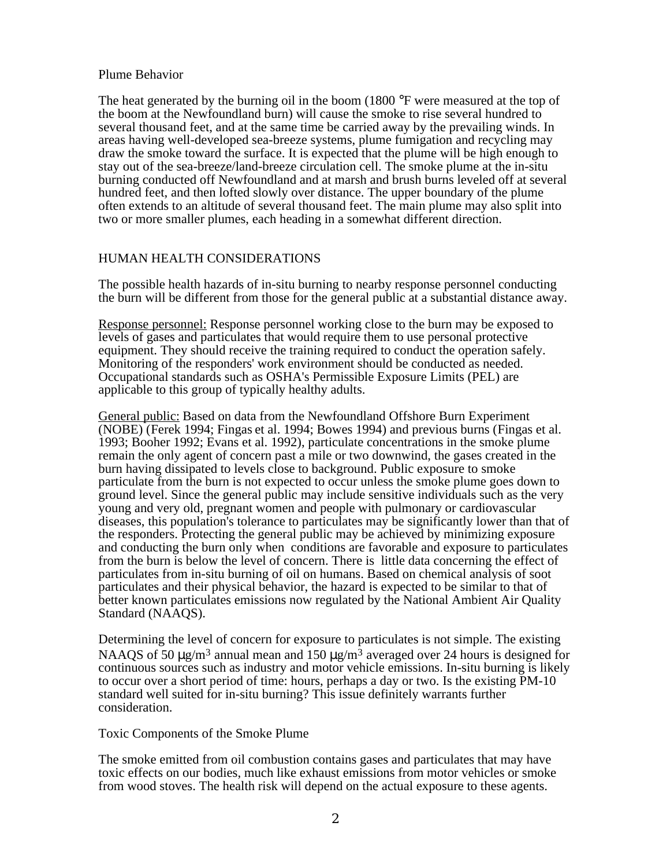#### Plume Behavior

The heat generated by the burning oil in the boom (1800  $\degree$ F were measured at the top of the boom at the Newfoundland burn) will cause the smoke to rise several hundred to several thousand feet, and at the same time be carried away by the prevailing winds. In areas having well-developed sea-breeze systems, plume fumigation and recycling may draw the smoke toward the surface. It is expected that the plume will be high enough to stay out of the sea-breeze/land-breeze circulation cell. The smoke plume at the in-situ burning conducted off Newfoundland and at marsh and brush burns leveled off at several hundred feet, and then lofted slowly over distance. The upper boundary of the plume often extends to an altitude of several thousand feet. The main plume may also split into two or more smaller plumes, each heading in a somewhat different direction.

#### HUMAN HEALTH CONSIDERATIONS

The possible health hazards of in-situ burning to nearby response personnel conducting the burn will be different from those for the general public at a substantial distance away.

Response personnel: Response personnel working close to the burn may be exposed to levels of gases and particulates that would require them to use personal protective equipment. They should receive the training required to conduct the operation safely. Monitoring of the responders' work environment should be conducted as needed. Occupational standards such as OSHA's Permissible Exposure Limits (PEL) are applicable to this group of typically healthy adults.

General public: Based on data from the Newfoundland Offshore Burn Experiment (NOBE) (Ferek 1994; Fingas et al. 1994; Bowes 1994) and previous burns (Fingas et al. 1993; Booher 1992; Evans et al. 1992), particulate concentrations in the smoke plume remain the only agent of concern past a mile or two downwind, the gases created in the burn having dissipated to levels close to background. Public exposure to smoke particulate from the burn is not expected to occur unless the smoke plume goes down to ground level. Since the general public may include sensitive individuals such as the very young and very old, pregnant women and people with pulmonary or cardiovascular diseases, this population's tolerance to particulates may be significantly lower than that of the responders. Protecting the general public may be achieved by minimizing exposure and conducting the burn only when conditions are favorable and exposure to particulates from the burn is below the level of concern. There is little data concerning the effect of particulates from in-situ burning of oil on humans. Based on chemical analysis of soot particulates and their physical behavior, the hazard is expected to be similar to that of better known particulates emissions now regulated by the National Ambient Air Quality Standard (NAAQS).

Determining the level of concern for exposure to particulates is not simple. The existing NAAQS of 50  $\mu$ g/m<sup>3</sup> annual mean and 150  $\mu$ g/m<sup>3</sup> averaged over 24 hours is designed for continuous sources such as industry and motor vehicle emissions. In-situ burning is likely to occur over a short period of time: hours, perhaps a day or two. Is the existing PM-10 standard well suited for in-situ burning? This issue definitely warrants further consideration.

#### Toxic Components of the Smoke Plume

The smoke emitted from oil combustion contains gases and particulates that may have toxic effects on our bodies, much like exhaust emissions from motor vehicles or smoke from wood stoves. The health risk will depend on the actual exposure to these agents.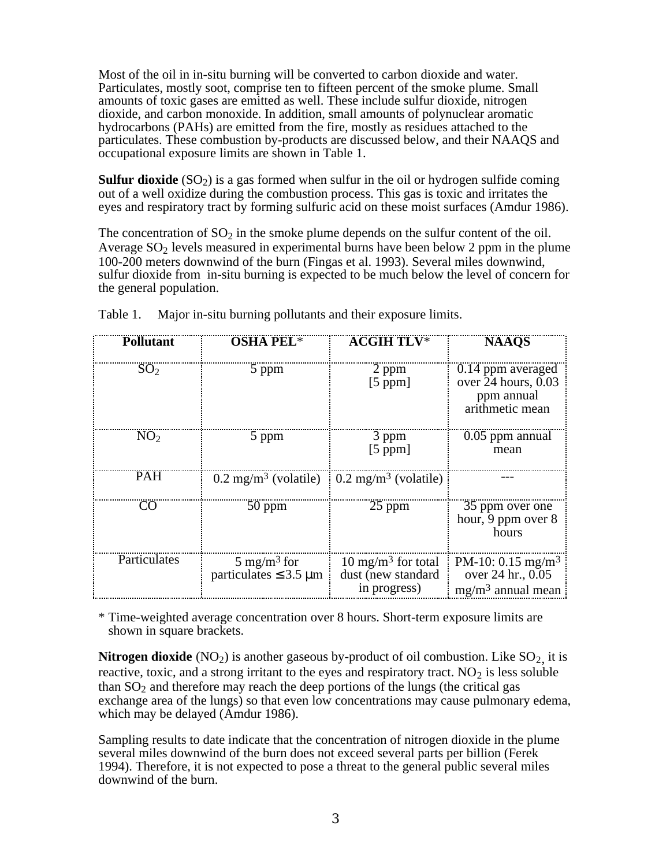Most of the oil in in-situ burning will be converted to carbon dioxide and water. Particulates, mostly soot, comprise ten to fifteen percent of the smoke plume. Small amounts of toxic gases are emitted as well. These include sulfur dioxide, nitrogen dioxide, and carbon monoxide. In addition, small amounts of polynuclear aromatic hydrocarbons (PAHs) are emitted from the fire, mostly as residues attached to the particulates. These combustion by-products are discussed below, and their NAAQS and occupational exposure limits are shown in Table 1.

**Sulfur dioxide**  $(SO_2)$  is a gas formed when sulfur in the oil or hydrogen sulfide coming out of a well oxidize during the combustion process. This gas is toxic and irritates the eyes and respiratory tract by forming sulfuric acid on these moist surfaces (Amdur 1986).

The concentration of  $SO_2$  in the smoke plume depends on the sulfur content of the oil. Average  $SO<sub>2</sub>$  levels measured in experimental burns have been below 2 ppm in the plume 100-200 meters downwind of the burn (Fingas et al. 1993). Several miles downwind, sulfur dioxide from in-situ burning is expected to be much below the level of concern for the general population.

| <b>Pollutant</b> | <b>OSHA PEL*</b>                                                | <b>ACGIH TLV*</b>                                                   | <b>NAAOS</b>                                                                |
|------------------|-----------------------------------------------------------------|---------------------------------------------------------------------|-----------------------------------------------------------------------------|
| SO <sub>2</sub>  | 5 ppm                                                           | 2 ppm<br>[5 ppm]                                                    | 0.14 ppm averaged<br>over $24$ hours, 0.03<br>ppm annual<br>arithmetic mean |
| NO <sub>2</sub>  | 5 ppm                                                           | 3 ppm<br>[5 ppm]                                                    | $0.05$ ppm annual<br>mean                                                   |
| <b>PAH</b>       | $0.2 \text{ mg/m}^3$ (volatile) $0.2 \text{ mg/m}^3$ (volatile) |                                                                     |                                                                             |
| CO               | $50$ ppm                                                        | $25$ ppm                                                            | 35 ppm over one<br>hour, 9 ppm over 8<br>hours                              |
| Particulates     | $5 \text{ mg/m}^3$ for<br>particulates $\leq$ 3.5 µm            | $10 \text{ mg/m}^3$ for total<br>dust (new standard<br>in progress) | PM-10: 0.15 mg/m <sup>3</sup><br>over 24 hr., 0.05<br>$mg/m3$ annual mean   |

Table 1. Major in-situ burning pollutants and their exposure limits.

\* Time-weighted average concentration over 8 hours. Short-term exposure limits are shown in square brackets.

**Nitrogen dioxide** (NO<sub>2</sub>) is another gaseous by-product of oil combustion. Like  $SO_2$  it is reactive, toxic, and a strong irritant to the eyes and respiratory tract.  $NO<sub>2</sub>$  is less soluble than  $SO<sub>2</sub>$  and therefore may reach the deep portions of the lungs (the critical gas exchange area of the lungs) so that even low concentrations may cause pulmonary edema, which may be delayed (Amdur 1986).

Sampling results to date indicate that the concentration of nitrogen dioxide in the plume several miles downwind of the burn does not exceed several parts per billion (Ferek 1994). Therefore, it is not expected to pose a threat to the general public several miles downwind of the burn.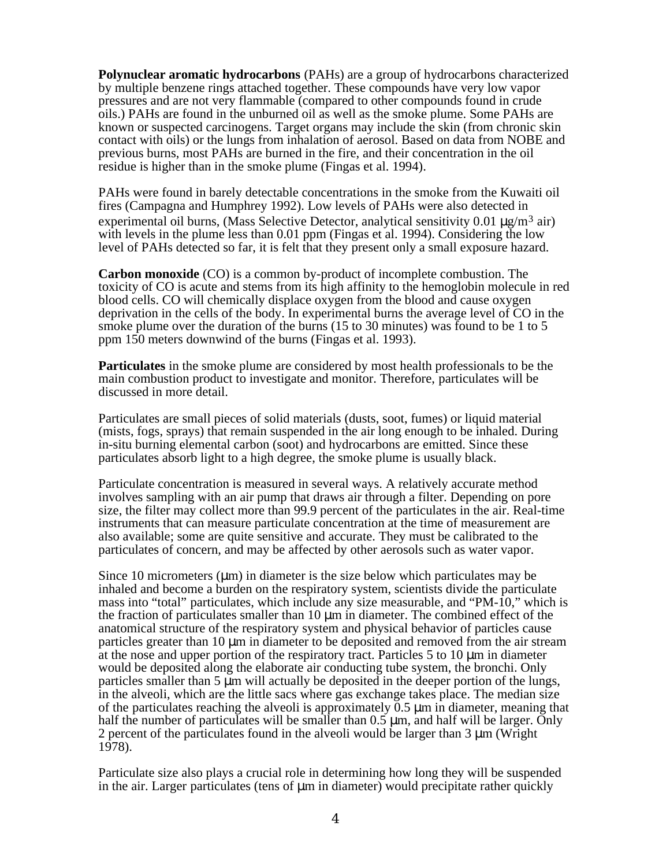**Polynuclear aromatic hydrocarbons** (PAHs) are a group of hydrocarbons characterized by multiple benzene rings attached together. These compounds have very low vapor pressures and are not very flammable (compared to other compounds found in crude oils.) PAHs are found in the unburned oil as well as the smoke plume. Some PAHs are known or suspected carcinogens. Target organs may include the skin (from chronic skin contact with oils) or the lungs from inhalation of aerosol. Based on data from NOBE and previous burns, most PAHs are burned in the fire, and their concentration in the oil residue is higher than in the smoke plume (Fingas et al. 1994).

PAHs were found in barely detectable concentrations in the smoke from the Kuwaiti oil fires (Campagna and Humphrey 1992). Low levels of PAHs were also detected in experimental oil burns, (Mass Selective Detector, analytical sensitivity 0.01  $\mu$ g/m<sup>3</sup> air) with levels in the plume less than 0.01 ppm (Fingas et al. 1994). Considering the low level of PAHs detected so far, it is felt that they present only a small exposure hazard.

**Carbon monoxide** (CO) is a common by-product of incomplete combustion. The toxicity of CO is acute and stems from its high affinity to the hemoglobin molecule in red blood cells. CO will chemically displace oxygen from the blood and cause oxygen deprivation in the cells of the body. In experimental burns the average level of CO in the smoke plume over the duration of the burns (15 to 30 minutes) was found to be 1 to 5 ppm 150 meters downwind of the burns (Fingas et al. 1993).

**Particulates** in the smoke plume are considered by most health professionals to be the main combustion product to investigate and monitor. Therefore, particulates will be discussed in more detail.

Particulates are small pieces of solid materials (dusts, soot, fumes) or liquid material (mists, fogs, sprays) that remain suspended in the air long enough to be inhaled. During in-situ burning elemental carbon (soot) and hydrocarbons are emitted. Since these particulates absorb light to a high degree, the smoke plume is usually black.

Particulate concentration is measured in several ways. A relatively accurate method involves sampling with an air pump that draws air through a filter. Depending on pore size, the filter may collect more than 99.9 percent of the particulates in the air. Real-time instruments that can measure particulate concentration at the time of measurement are also available; some are quite sensitive and accurate. They must be calibrated to the particulates of concern, and may be affected by other aerosols such as water vapor.

Since 10 micrometers  $(\mu m)$  in diameter is the size below which particulates may be inhaled and become a burden on the respiratory system, scientists divide the particulate mass into "total" particulates, which include any size measurable, and "PM-10," which is the fraction of particulates smaller than 10 µm in diameter. The combined effect of the anatomical structure of the respiratory system and physical behavior of particles cause particles greater than 10 µm in diameter to be deposited and removed from the air stream at the nose and upper portion of the respiratory tract. Particles 5 to 10 µm in diameter would be deposited along the elaborate air conducting tube system, the bronchi. Only particles smaller than  $5 \mu m$  will actually be deposited in the deeper portion of the lungs, in the alveoli, which are the little sacs where gas exchange takes place. The median size of the particulates reaching the alveoli is approximately  $0.5 \mu m$  in diameter, meaning that half the number of particulates will be smaller than 0.5  $\mu$ m, and half will be larger. Only 2 percent of the particulates found in the alveoli would be larger than 3 µm (Wright 1978).

Particulate size also plays a crucial role in determining how long they will be suspended in the air. Larger particulates (tens of  $\mu$ m in diameter) would precipitate rather quickly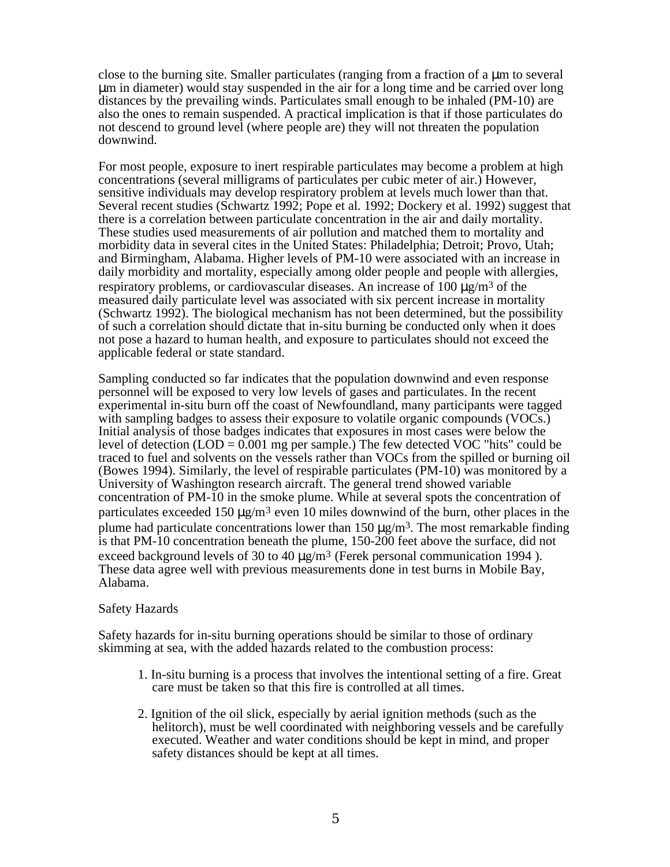close to the burning site. Smaller particulates (ranging from a fraction of a um to several µm in diameter) would stay suspended in the air for a long time and be carried over long distances by the prevailing winds. Particulates small enough to be inhaled (PM-10) are also the ones to remain suspended. A practical implication is that if those particulates do not descend to ground level (where people are) they will not threaten the population downwind.

For most people, exposure to inert respirable particulates may become a problem at high concentrations (several milligrams of particulates per cubic meter of air.) However, sensitive individuals may develop respiratory problem at levels much lower than that. Several recent studies (Schwartz 1992; Pope et al. 1992; Dockery et al. 1992) suggest that there is a correlation between particulate concentration in the air and daily mortality. These studies used measurements of air pollution and matched them to mortality and morbidity data in several cites in the United States: Philadelphia; Detroit; Provo, Utah; and Birmingham, Alabama. Higher levels of PM-10 were associated with an increase in daily morbidity and mortality, especially among older people and people with allergies, respiratory problems, or cardiovascular diseases. An increase of 100  $\mu$ g/m<sup>3</sup> of the measured daily particulate level was associated with six percent increase in mortality (Schwartz 1992). The biological mechanism has not been determined, but the possibility of such a correlation should dictate that in-situ burning be conducted only when it does not pose a hazard to human health, and exposure to particulates should not exceed the applicable federal or state standard.

Sampling conducted so far indicates that the population downwind and even response personnel will be exposed to very low levels of gases and particulates. In the recent experimental in-situ burn off the coast of Newfoundland, many participants were tagged with sampling badges to assess their exposure to volatile organic compounds (VOCs.) Initial analysis of those badges indicates that exposures in most cases were below the level of detection  $(LOD = 0.001$  mg per sample.) The few detected VOC "hits" could be traced to fuel and solvents on the vessels rather than VOCs from the spilled or burning oil (Bowes 1994). Similarly, the level of respirable particulates (PM-10) was monitored by a University of Washington research aircraft. The general trend showed variable concentration of PM-10 in the smoke plume. While at several spots the concentration of particulates exceeded 150  $\mu$ g/m<sup>3</sup> even 10 miles downwind of the burn, other places in the plume had particulate concentrations lower than 150  $\mu$ g/m<sup>3</sup>. The most remarkable finding is that PM-10 concentration beneath the plume, 150-200 feet above the surface, did not exceed background levels of 30 to 40  $\mu$ g/m<sup>3</sup> (Ferek personal communication 1994). These data agree well with previous measurements done in test burns in Mobile Bay, Alabama.

# Safety Hazards

Safety hazards for in-situ burning operations should be similar to those of ordinary skimming at sea, with the added hazards related to the combustion process:

- 1. In-situ burning is a process that involves the intentional setting of a fire. Great care must be taken so that this fire is controlled at all times.
- 2. Ignition of the oil slick, especially by aerial ignition methods (such as the helitorch), must be well coordinated with neighboring vessels and be carefully executed. Weather and water conditions should be kept in mind, and proper safety distances should be kept at all times.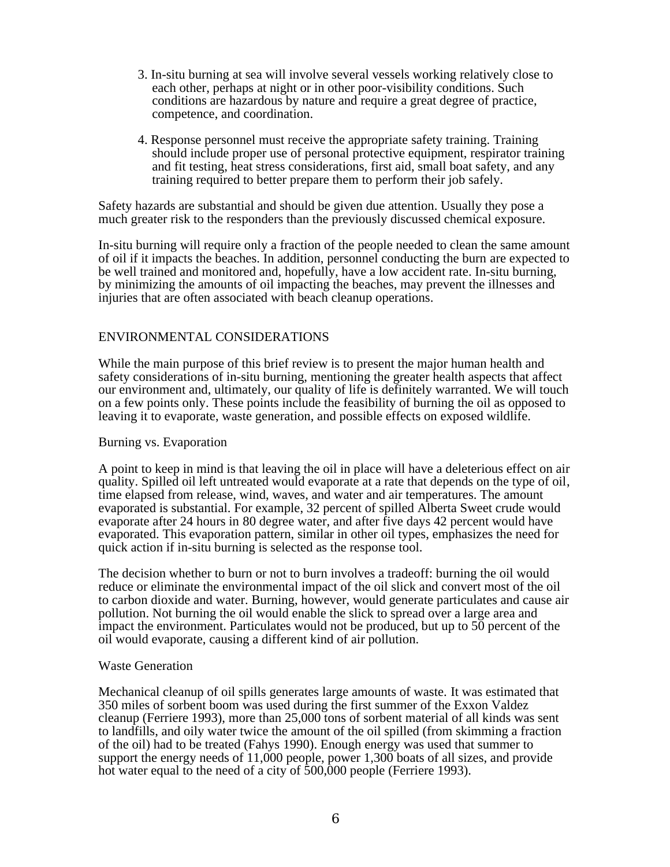- 3. In-situ burning at sea will involve several vessels working relatively close to each other, perhaps at night or in other poor-visibility conditions. Such conditions are hazardous by nature and require a great degree of practice, competence, and coordination.
- 4. Response personnel must receive the appropriate safety training. Training should include proper use of personal protective equipment, respirator training and fit testing, heat stress considerations, first aid, small boat safety, and any training required to better prepare them to perform their job safely.

Safety hazards are substantial and should be given due attention. Usually they pose a much greater risk to the responders than the previously discussed chemical exposure.

In-situ burning will require only a fraction of the people needed to clean the same amount of oil if it impacts the beaches. In addition, personnel conducting the burn are expected to be well trained and monitored and, hopefully, have a low accident rate. In-situ burning, by minimizing the amounts of oil impacting the beaches, may prevent the illnesses and injuries that are often associated with beach cleanup operations.

# ENVIRONMENTAL CONSIDERATIONS

While the main purpose of this brief review is to present the major human health and safety considerations of in-situ burning, mentioning the greater health aspects that affect our environment and, ultimately, our quality of life is definitely warranted. We will touch on a few points only. These points include the feasibility of burning the oil as opposed to leaving it to evaporate, waste generation, and possible effects on exposed wildlife.

#### Burning vs. Evaporation

A point to keep in mind is that leaving the oil in place will have a deleterious effect on air quality. Spilled oil left untreated would evaporate at a rate that depends on the type of oil, time elapsed from release, wind, waves, and water and air temperatures. The amount evaporated is substantial. For example, 32 percent of spilled Alberta Sweet crude would evaporate after 24 hours in 80 degree water, and after five days 42 percent would have evaporated. This evaporation pattern, similar in other oil types, emphasizes the need for quick action if in-situ burning is selected as the response tool.

The decision whether to burn or not to burn involves a tradeoff: burning the oil would reduce or eliminate the environmental impact of the oil slick and convert most of the oil to carbon dioxide and water. Burning, however, would generate particulates and cause air pollution. Not burning the oil would enable the slick to spread over a large area and impact the environment. Particulates would not be produced, but up to 50 percent of the oil would evaporate, causing a different kind of air pollution.

#### Waste Generation

Mechanical cleanup of oil spills generates large amounts of waste. It was estimated that 350 miles of sorbent boom was used during the first summer of the Exxon Valdez cleanup (Ferriere 1993), more than 25,000 tons of sorbent material of all kinds was sent to landfills, and oily water twice the amount of the oil spilled (from skimming a fraction of the oil) had to be treated (Fahys 1990). Enough energy was used that summer to support the energy needs of 11,000 people, power 1,300 boats of all sizes, and provide hot water equal to the need of a city of 500,000 people (Ferriere 1993).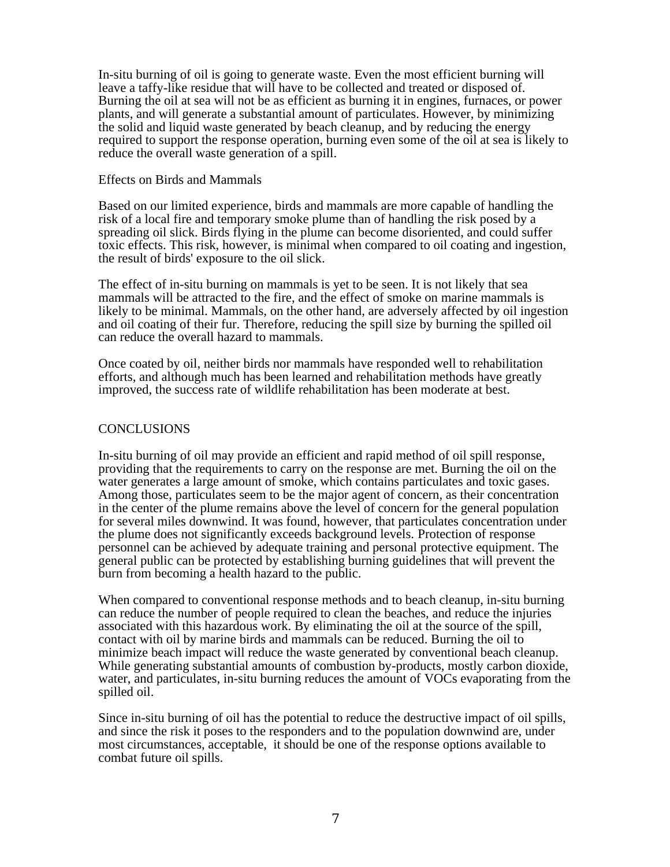In-situ burning of oil is going to generate waste. Even the most efficient burning will leave a taffy-like residue that will have to be collected and treated or disposed of. Burning the oil at sea will not be as efficient as burning it in engines, furnaces, or power plants, and will generate a substantial amount of particulates. However, by minimizing the solid and liquid waste generated by beach cleanup, and by reducing the energy required to support the response operation, burning even some of the oil at sea is likely to reduce the overall waste generation of a spill.

#### Effects on Birds and Mammals

Based on our limited experience, birds and mammals are more capable of handling the risk of a local fire and temporary smoke plume than of handling the risk posed by a spreading oil slick. Birds flying in the plume can become disoriented, and could suffer toxic effects. This risk, however, is minimal when compared to oil coating and ingestion, the result of birds' exposure to the oil slick.

The effect of in-situ burning on mammals is yet to be seen. It is not likely that sea mammals will be attracted to the fire, and the effect of smoke on marine mammals is likely to be minimal. Mammals, on the other hand, are adversely affected by oil ingestion and oil coating of their fur. Therefore, reducing the spill size by burning the spilled oil can reduce the overall hazard to mammals.

Once coated by oil, neither birds nor mammals have responded well to rehabilitation efforts, and although much has been learned and rehabilitation methods have greatly improved, the success rate of wildlife rehabilitation has been moderate at best.

## **CONCLUSIONS**

In-situ burning of oil may provide an efficient and rapid method of oil spill response, providing that the requirements to carry on the response are met. Burning the oil on the water generates a large amount of smoke, which contains particulates and toxic gases. Among those, particulates seem to be the major agent of concern, as their concentration in the center of the plume remains above the level of concern for the general population for several miles downwind. It was found, however, that particulates concentration under the plume does not significantly exceeds background levels. Protection of response personnel can be achieved by adequate training and personal protective equipment. The general public can be protected by establishing burning guidelines that will prevent the burn from becoming a health hazard to the public.

When compared to conventional response methods and to beach cleanup, in-situ burning can reduce the number of people required to clean the beaches, and reduce the injuries associated with this hazardous work. By eliminating the oil at the source of the spill, contact with oil by marine birds and mammals can be reduced. Burning the oil to minimize beach impact will reduce the waste generated by conventional beach cleanup. While generating substantial amounts of combustion by-products, mostly carbon dioxide, water, and particulates, in-situ burning reduces the amount of VOCs evaporating from the spilled oil.

Since in-situ burning of oil has the potential to reduce the destructive impact of oil spills, and since the risk it poses to the responders and to the population downwind are, under most circumstances, acceptable, it should be one of the response options available to combat future oil spills.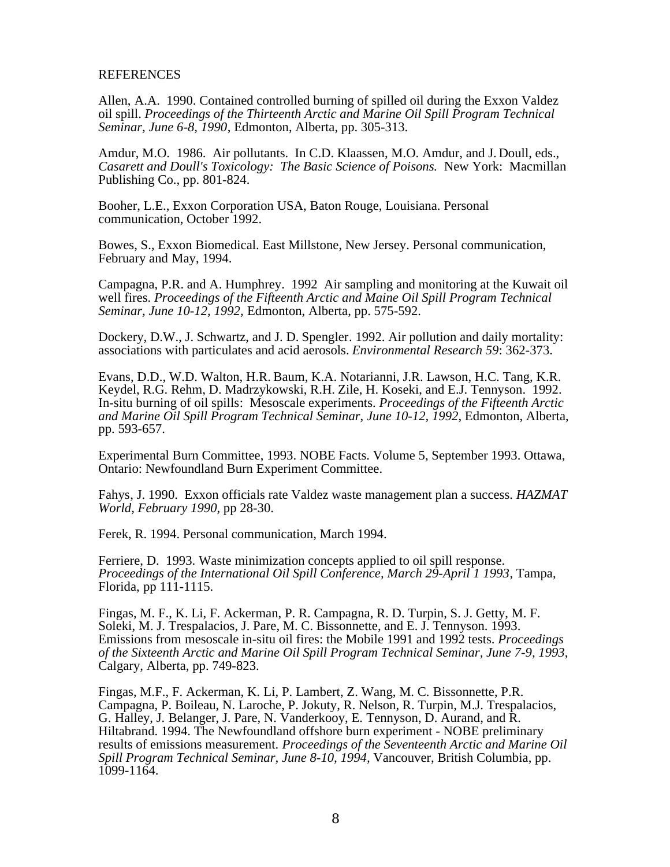#### **REFERENCES**

Allen, A.A. 1990. Contained controlled burning of spilled oil during the Exxon Valdez oil spill. *Proceedings of the Thirteenth Arctic and Marine Oil Spill Program Technical Seminar, June 6-8, 1990*, Edmonton, Alberta, pp. 305-313.

Amdur, M.O. 1986. Air pollutants. In C.D. Klaassen, M.O. Amdur, and J. Doull, eds., *Casarett and Doull's Toxicology: The Basic Science of Poisons.* New York: Macmillan Publishing Co., pp. 801-824.

Booher, L.E., Exxon Corporation USA, Baton Rouge, Louisiana. Personal communication, October 1992.

Bowes, S., Exxon Biomedical. East Millstone, New Jersey. Personal communication, February and May, 1994.

Campagna, P.R. and A. Humphrey. 1992 Air sampling and monitoring at the Kuwait oil well fires. *Proceedings of the Fifteenth Arctic and Maine Oil Spill Program Technical Seminar, June 10-12, 1992,* Edmonton, Alberta, pp. 575-592.

Dockery, D.W., J. Schwartz, and J. D. Spengler. 1992. Air pollution and daily mortality: associations with particulates and acid aerosols. *Environmental Research 59*: 362-373.

Evans, D.D., W.D. Walton, H.R. Baum, K.A. Notarianni, J.R. Lawson, H.C. Tang, K.R. Keydel, R.G. Rehm, D. Madrzykowski, R.H. Zile, H. Koseki, and E.J. Tennyson. 1992. In-situ burning of oil spills: Mesoscale experiments. *Proceedings of the Fifteenth Arctic and Marine Oil Spill Program Technical Seminar, June 10-12, 1992*, Edmonton, Alberta, pp. 593-657.

Experimental Burn Committee, 1993. NOBE Facts. Volume 5, September 1993. Ottawa, Ontario: Newfoundland Burn Experiment Committee.

Fahys, J. 1990. Exxon officials rate Valdez waste management plan a success. *HAZMAT World, February 1990*, pp 28-30.

Ferek, R. 1994. Personal communication, March 1994.

Ferriere, D. 1993. Waste minimization concepts applied to oil spill response. *Proceedings of the International Oil Spill Conference, March 29-April 1 1993*, Tampa, Florida, pp 111-1115.

Fingas, M. F., K. Li, F. Ackerman, P. R. Campagna, R. D. Turpin, S. J. Getty, M. F. Soleki, M. J. Trespalacios, J. Pare, M. C. Bissonnette, and E. J. Tennyson. 1993. Emissions from mesoscale in-situ oil fires: the Mobile 1991 and 1992 tests. *Proceedings of the Sixteenth Arctic and Marine Oil Spill Program Technical Seminar, June 7-9, 1993*, Calgary, Alberta, pp. 749-823.

Fingas, M.F., F. Ackerman, K. Li, P. Lambert, Z. Wang, M. C. Bissonnette, P.R. Campagna, P. Boileau, N. Laroche, P. Jokuty, R. Nelson, R. Turpin, M.J. Trespalacios, G. Halley, J. Belanger, J. Pare, N. Vanderkooy, E. Tennyson, D. Aurand, and R. Hiltabrand. 1994. The Newfoundland offshore burn experiment - NOBE preliminary results of emissions measurement. *Proceedings of the Seventeenth Arctic and Marine Oil Spill Program Technical Seminar, June 8-10, 1994,* Vancouver, British Columbia, pp. 1099-1164.